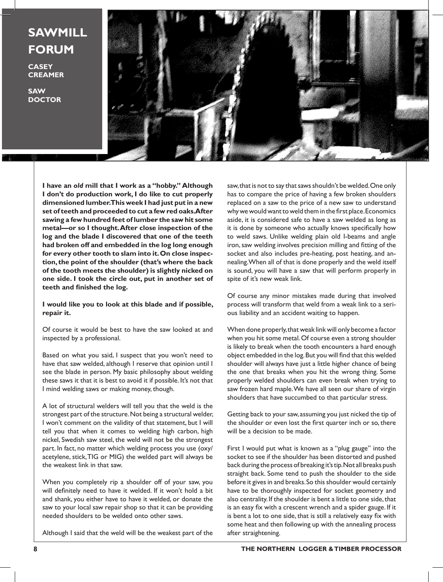**SAWMILL FORUM**

**CASEY CREAMER**

**SAW DOCTOR**



**I have an** *old* **mill that I work as a "hobby." Although I don't do production work, I do like to cut properly dimensioned lumber. This week I had just put in a new set of teeth and proceeded to cut a few red oaks. After sawing a few hundred feet of lumber the saw hit some metal—or so I thought. After close inspection of the log and the blade I discovered that one of the teeth had broken off and embedded in the log long enough for every other tooth to slam into it. On close inspection, the point of the shoulder (that's where the back of the tooth meets the shoulder) is slightly nicked on one side. I took the circle out, put in another set of teeth and finished the log.** 

## **I would like you to look at this blade and if possible, repair it.**

Of course it would be best to have the saw looked at and inspected by a professional.

Based on what you said, I suspect that you won't need to have that saw welded, although I reserve that opinion until I see the blade in person. My basic philosophy about welding these saws it that it is best to avoid it if possible. It's not that I mind welding saws or making money, though.

A lot of structural welders will tell you that the weld is the strongest part of the structure. Not being a structural welder, I won't comment on the validity of that statement, but I will tell you that when it comes to welding high carbon, high nickel, Swedish saw steel, the weld will not be the strongest part. In fact, no matter which welding process you use (oxy/ acetylene, stick, TIG or MIG) the welded part will always be the weakest link in that saw.

When you completely rip a shoulder off of your saw, you will definitely need to have it welded. If it won't hold a bit and shank, you either have to have it welded, or donate the saw to your local saw repair shop so that it can be providing needed shoulders to be welded onto other saws.

Although I said that the weld will be the weakest part of the

saw, that is not to say that saws shouldn't be welded. One only has to compare the price of having a few broken shoulders replaced on a saw to the price of a new saw to understand why we would want to weld them in the first place. Economics aside, it is considered safe to have a saw welded as long as it is done by someone who actually knows specifically how to weld saws. Unlike welding plain old I-beams and angle iron, saw welding involves precision milling and fitting of the socket and also includes pre-heating, post heating, and annealing. When all of that is done properly and the weld itself is sound, you will have a saw that will perform properly in spite of it's new weak link.

Of course any minor mistakes made during that involved process will transform that weld from a weak link to a serious liability and an accident waiting to happen.

When done properly, that weak link will only become a factor when you hit some metal. Of course even a strong shoulder is likely to break when the tooth encounters a hard enough object embedded in the log. But you will find that this welded shoulder will always have just a little higher chance of being the one that breaks when you hit the wrong thing. Some properly welded shoulders can even break when trying to saw frozen hard maple. We have all seen our share of virgin shoulders that have succumbed to that particular stress.

Getting back to your saw, assuming you just nicked the tip of the shoulder or even lost the first quarter inch or so, there will be a decision to be made.

First I would put what is known as a "plug gauge" into the socket to see if the shoulder has been distorted and pushed back during the process of breaking it's tip. Not all breaks push straight back. Some tend to push the shoulder to the side before it gives in and breaks. So this shoulder would certainly have to be thoroughly inspected for socket geometry and also centrality. If the shoulder is bent a little to one side, that is an easy fix with a crescent wrench and a spider gauge. If it is bent a lot to one side, that is still a relatively easy fix with some heat and then following up with the annealing process after straightening.